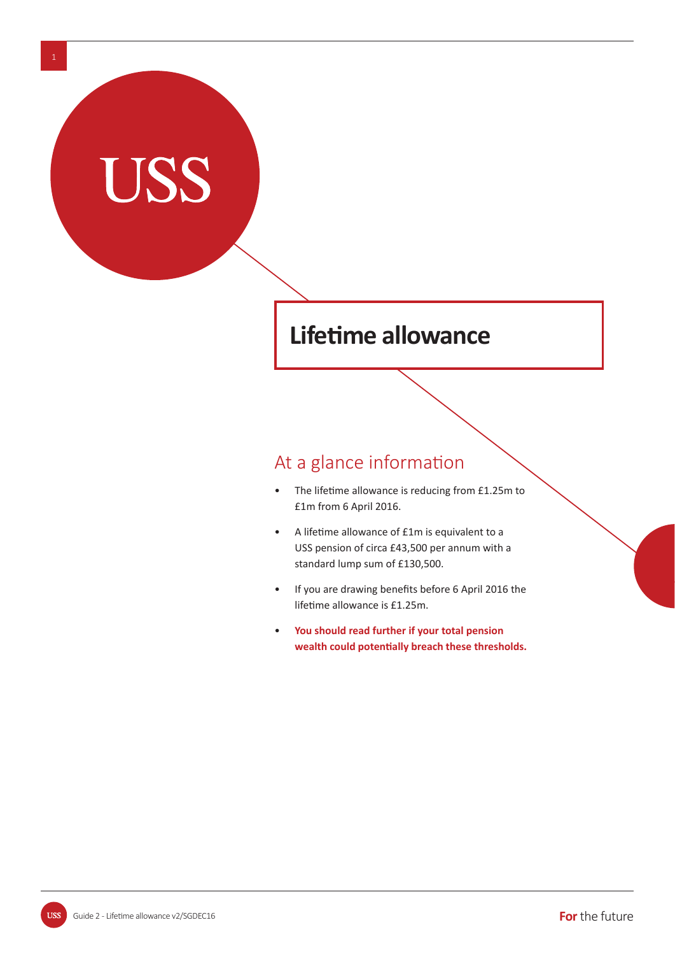# **Lifetime allowance**

### At a glance information

- The lifetime allowance is reducing from £1.25m to £1m from 6 April 2016.
- A lifetime allowance of £1m is equivalent to a USS pension of circa £43,500 per annum with a standard lump sum of £130,500.
- If you are drawing benefits before 6 April 2016 the lifetime allowance is £1.25m.
- • **You should read further if your total pension**  wealth could potentially breach these thresholds.

USS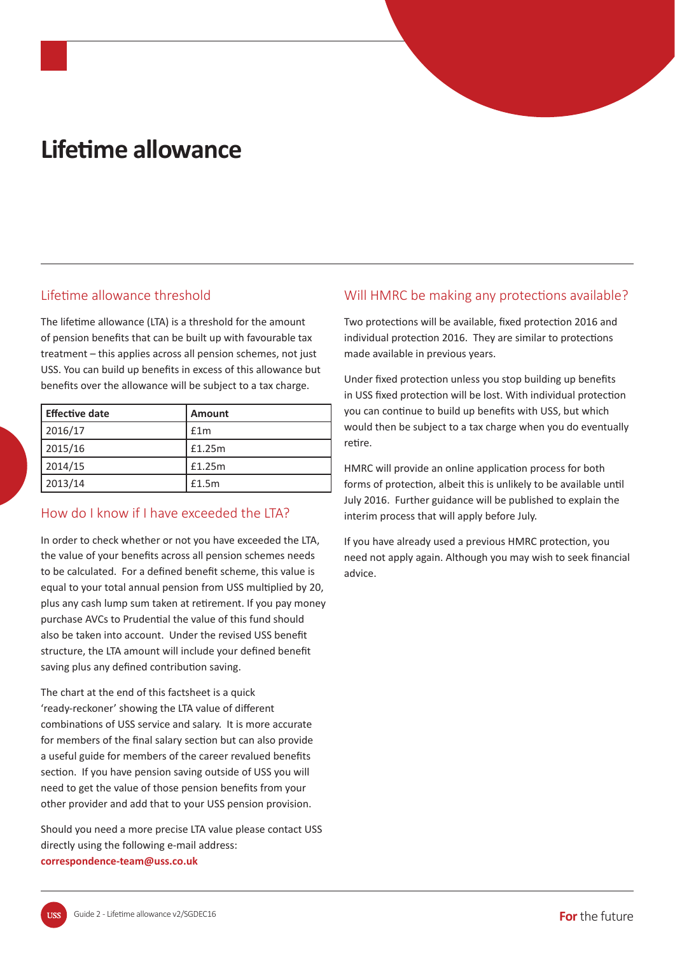# **LifeƟ me allowance**

#### Lifetime allowance threshold

The lifetime allowance (LTA) is a threshold for the amount of pension benefits that can be built up with favourable tax treatment – this applies across all pension schemes, not just USS. You can build up benefits in excess of this allowance but benefits over the allowance will be subject to a tax charge.

| <b>Effective date</b> | <b>Amount</b> |
|-----------------------|---------------|
| 2016/17               | £1m           |
| 2015/16               | £1.25m        |
| 2014/15               | £1.25m        |
| 2013/14               | £1.5m         |

### How do I know if I have exceeded the ITA?

In order to check whether or not you have exceeded the LTA, the value of your benefits across all pension schemes needs to be calculated. For a defined benefit scheme, this value is equal to your total annual pension from USS multiplied by 20, plus any cash lump sum taken at retirement. If you pay money purchase AVCs to Prudential the value of this fund should also be taken into account. Under the revised USS benefit structure, the LTA amount will include your defined benefit saving plus any defined contribution saving.

The chart at the end of this factsheet is a quick 'ready-reckoner' showing the LTA value of different combinations of USS service and salary. It is more accurate for members of the final salary section but can also provide a useful guide for members of the career revalued benefits section. If you have pension saving outside of USS you will need to get the value of those pension benefits from your other provider and add that to your USS pension provision.

Should you need a more precise LTA value please contact USS directly using the following e-mail address: **correspondence-team@uss.co.uk**

#### Will HMRC be making any protections available?

Two protections will be available, fixed protection 2016 and individual protection 2016. They are similar to protections made available in previous years.

Under fixed protection unless you stop building up benefits in USS fixed protection will be lost. With individual protection you can continue to build up benefits with USS, but which would then be subject to a tax charge when you do eventually retire.

HMRC will provide an online application process for both forms of protection, albeit this is unlikely to be available until July 2016. Further guidance will be published to explain the interim process that will apply before July.

If you have already used a previous HMRC protection, you need not apply again. Although you may wish to seek financial advice.

**TISS**